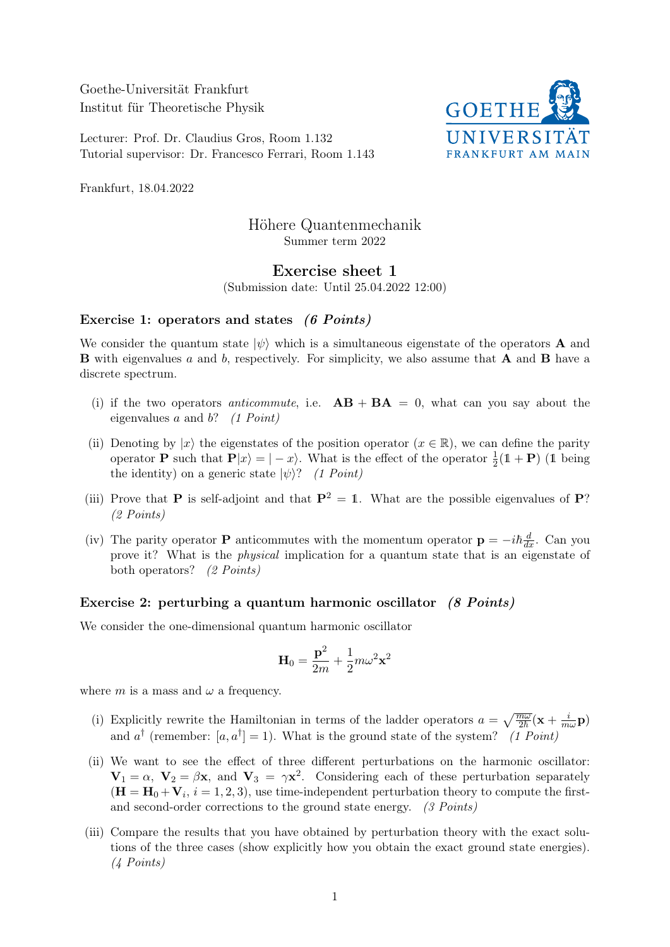Goethe-Universität Frankfurt Institut für Theoretische Physik

Lecturer: Prof. Dr. Claudius Gros, Room 1.132 Tutorial supervisor: Dr. Francesco Ferrari, Room 1.143



Frankfurt, 18.04.2022

# Höhere Quantenmechanik Summer term 2022

## Exercise sheet 1

(Submission date: Until 25.04.2022 12:00)

#### Exercise 1: operators and states (6 Points)

We consider the quantum state  $|\psi\rangle$  which is a simultaneous eigenstate of the operators **A** and **B** with eigenvalues a and b, respectively. For simplicity, we also assume that **A** and **B** have a discrete spectrum.

- (i) if the two operators *anticommute*, i.e.  $AB + BA = 0$ , what can you say about the eigenvalues  $a$  and  $b$ ? (1 Point)
- (ii) Denoting by  $|x\rangle$  the eigenstates of the position operator  $(x \in \mathbb{R})$ , we can define the parity operator **P** such that  $P|x\rangle = |-x\rangle$ . What is the effect of the operator  $\frac{1}{2}(1 + P)$  (1 being the identity) on a generic state  $|\psi\rangle$ ? (1 Point)
- (iii) Prove that **P** is self-adjoint and that  $\mathbf{P}^2 = 1$ . What are the possible eigenvalues of **P**? (2 Points)
- (iv) The parity operator **P** anticommutes with the momentum operator  $\mathbf{p} = -i\hbar \frac{d}{dx}$ . Can you prove it? What is the physical implication for a quantum state that is an eigenstate of both operators? (2 Points)

### Exercise 2: perturbing a quantum harmonic oscillator (8 Points)

We consider the one-dimensional quantum harmonic oscillator

$$
\mathbf{H}_0 = \frac{\mathbf{p}^2}{2m} + \frac{1}{2}m\omega^2\mathbf{x}^2
$$

where m is a mass and  $\omega$  a frequency.

- (i) Explicitly rewrite the Hamiltonian in terms of the ladder operators  $a = \sqrt{\frac{m\omega}{2\hbar}}(\mathbf{x} + \frac{i}{m})$  $\frac{\imath}{m\omega} {\bf p})$ and  $a^{\dagger}$  (remember: [a,  $a^{\dagger}$ ] = 1). What is the ground state of the system? (1 Point)
- (ii) We want to see the effect of three different perturbations on the harmonic oscillator:  $V_1 = \alpha$ ,  $V_2 = \beta x$ , and  $V_3 = \gamma x^2$ . Considering each of these perturbation separately  $(\mathbf{H} = \mathbf{H}_0 + \mathbf{V}_i, i = 1, 2, 3)$ , use time-independent perturbation theory to compute the firstand second-order corrections to the ground state energy. (3 Points)
- (iii) Compare the results that you have obtained by perturbation theory with the exact solutions of the three cases (show explicitly how you obtain the exact ground state energies). (4 Points)